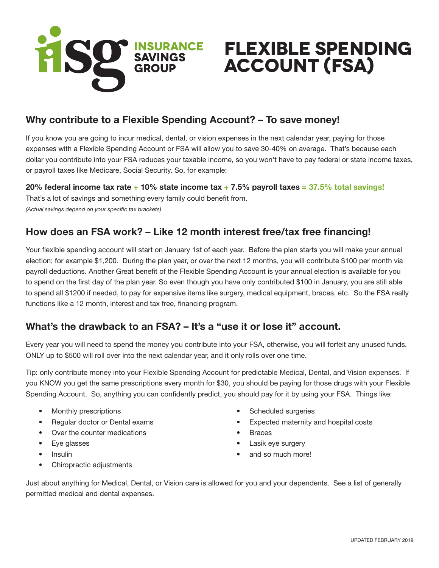

# **Flexible Spending Account (FSA)**

## Why contribute to a Flexible Spending Account? – To save money!

If you know you are going to incur medical, dental, or vision expenses in the next calendar year, paying for those expenses with a Flexible Spending Account or FSA will allow you to save 30-40% on average. That's because each dollar you contribute into your FSA reduces your taxable income, so you won't have to pay federal or state income taxes, or payroll taxes like Medicare, Social Security. So, for example:

20% federal income tax rate  $+10\%$  state income tax  $+7.5\%$  payroll taxes = 37.5% total savings! That's a lot of savings and something every family could benefit from. *(Actual savings depend on your specific tax brackets)*

## How does an FSA work? – Like 12 month interest free/tax free financing!

Your flexible spending account will start on January 1st of each year. Before the plan starts you will make your annual election; for example \$1,200. During the plan year, or over the next 12 months, you will contribute \$100 per month via payroll deductions. Another Great benefit of the Flexible Spending Account is your annual election is available for you to spend on the first day of the plan year. So even though you have only contributed \$100 in January, you are still able to spend all \$1200 if needed, to pay for expensive items like surgery, medical equipment, braces, etc. So the FSA really functions like a 12 month, interest and tax free, financing program.

## What's the drawback to an FSA? – It's a "use it or lose it" account.

Every year you will need to spend the money you contribute into your FSA, otherwise, you will forfeit any unused funds. ONLY up to \$500 will roll over into the next calendar year, and it only rolls over one time.

Tip: only contribute money into your Flexible Spending Account for predictable Medical, Dental, and Vision expenses. If you KNOW you get the same prescriptions every month for \$30, you should be paying for those drugs with your Flexible Spending Account. So, anything you can confidently predict, you should pay for it by using your FSA. Things like:

- Monthly prescriptions
- Regular doctor or Dental exams
- Over the counter medications
- Eye glasses
- **Insulin**
- Chiropractic adjustments
- Scheduled surgeries
- Expected maternity and hospital costs
- **Braces**
- Lasik eye surgery
- and so much more!

Just about anything for Medical, Dental, or Vision care is allowed for you and your dependents. See a list of generally permitted medical and dental expenses.